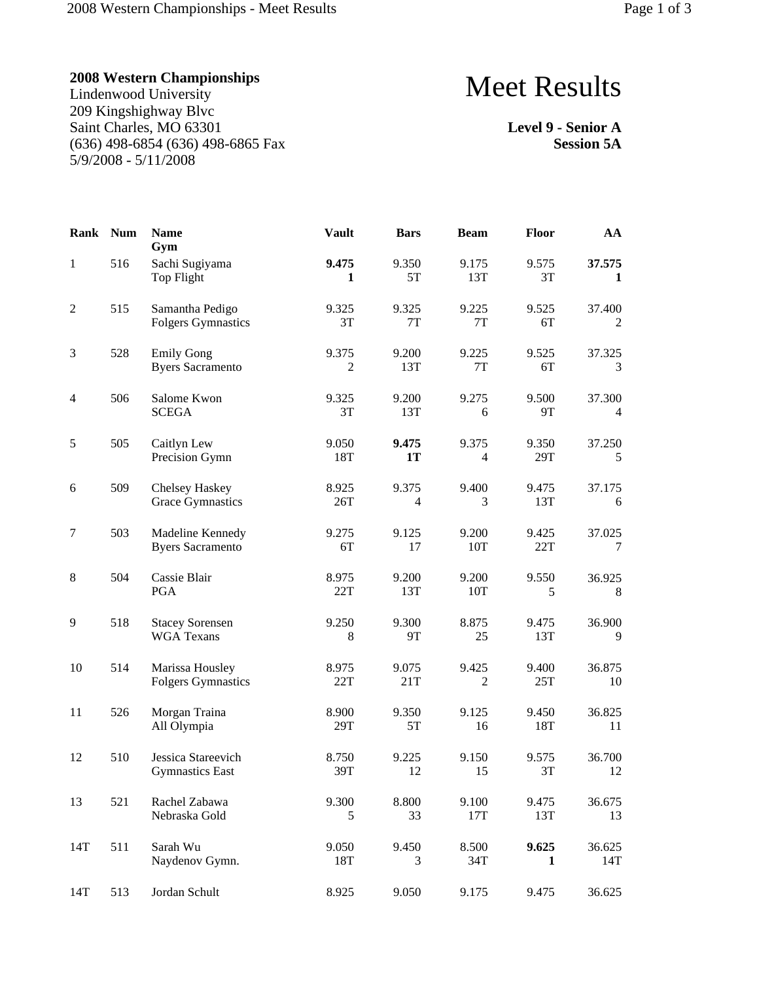Lindenwood University 209 Kingshighway Blvc Saint Charles, MO 63301 (636) 498-6854 (636) 498-6865 Fax 5/9/2008 - 5/11/2008

# Meet Results

**Level 9 - Senior A Session 5A**

| <b>Rank</b>    | <b>Num</b> | <b>Name</b><br>Gym                           | <b>Vault</b>            | <b>Bars</b>             | <b>Beam</b>             | Floor        | AA            |
|----------------|------------|----------------------------------------------|-------------------------|-------------------------|-------------------------|--------------|---------------|
| $\mathbf{1}$   | 516        | Sachi Sugiyama<br>Top Flight                 | 9.475<br>1              | 9.350<br>5T             | 9.175<br>13T            | 9.575<br>3T  | 37.575<br>1   |
| $\overline{c}$ | 515        | Samantha Pedigo<br><b>Folgers Gymnastics</b> | 9.325<br>3T             | 9.325<br>7T             | 9.225<br>7T             | 9.525<br>6T  | 37.400<br>2   |
| $\mathfrak{Z}$ | 528        | <b>Emily Gong</b><br><b>Byers Sacramento</b> | 9.375<br>$\overline{c}$ | 9.200<br>13T            | 9.225<br>$7\mathrm{T}$  | 9.525<br>6T  | 37.325<br>3   |
| 4              | 506        | Salome Kwon<br><b>SCEGA</b>                  | 9.325<br>3T             | 9.200<br>13T            | 9.275<br>6              | 9.500<br>9T  | 37.300<br>4   |
| 5              | 505        | Caitlyn Lew<br>Precision Gymn                | 9.050<br>18T            | 9.475<br><b>1T</b>      | 9.375<br>$\overline{4}$ | 9.350<br>29T | 37.250<br>5   |
| 6              | 509        | Chelsey Haskey<br><b>Grace Gymnastics</b>    | 8.925<br>26T            | 9.375<br>$\overline{4}$ | 9.400<br>3              | 9.475<br>13T | 37.175<br>6   |
| $\tau$         | 503        | Madeline Kennedy<br><b>Byers Sacramento</b>  | 9.275<br>6T             | 9.125<br>17             | 9.200<br>10T            | 9.425<br>22T | 37.025<br>7   |
| $\,8\,$        | 504        | Cassie Blair<br>PGA                          | 8.975<br>22T            | 9.200<br>13T            | 9.200<br>10T            | 9.550<br>5   | 36.925<br>8   |
| 9              | 518        | <b>Stacey Sorensen</b><br><b>WGA Texans</b>  | 9.250<br>8              | 9.300<br>9T             | 8.875<br>25             | 9.475<br>13T | 36.900<br>9   |
| 10             | 514        | Marissa Housley<br><b>Folgers Gymnastics</b> | 8.975<br>22T            | 9.075<br>21T            | 9.425<br>2              | 9.400<br>25T | 36.875<br>10  |
| 11             | 526        | Morgan Traina<br>All Olympia                 | 8.900<br>29T            | 9.350<br>5T             | 9.125<br>16             | 9.450<br>18T | 36.825<br>11  |
| 12             | 510        | Jessica Stareevich<br><b>Gymnastics East</b> | 8.750<br>39T            | 9.225<br>12             | 9.150<br>15             | 9.575<br>3T  | 36.700<br>12  |
| 13             | 521        | Rachel Zabawa<br>Nebraska Gold               | 9.300<br>5              | 8.800<br>33             | 9.100<br>17T            | 9.475<br>13T | 36.675<br>13  |
| 14T            | 511        | Sarah Wu<br>Naydenov Gymn.                   | 9.050<br>18T            | 9.450<br>3              | 8.500<br>34T            | 9.625<br>1   | 36.625<br>14T |
| 14T            | 513        | Jordan Schult                                | 8.925                   | 9.050                   | 9.175                   | 9.475        | 36.625        |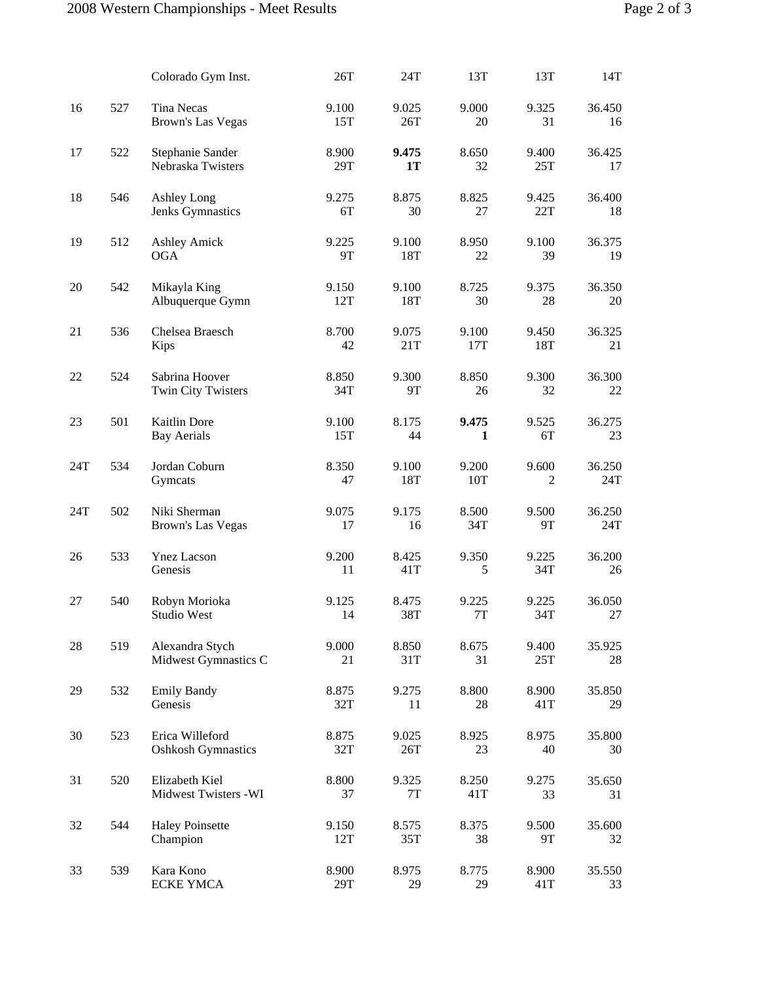|     |     | Colorado Gym Inst.                            | 26T          | 24T                | 13T                   | 13T          | 14T           |
|-----|-----|-----------------------------------------------|--------------|--------------------|-----------------------|--------------|---------------|
| 16  | 527 | <b>Tina Necas</b><br><b>Brown's Las Vegas</b> | 9.100<br>15T | 9.025<br>26T       | 9.000<br>20           | 9.325<br>31  | 36.450<br>16  |
| 17  | 522 | Stephanie Sander<br>Nebraska Twisters         | 8.900<br>29T | 9.475<br><b>1T</b> | 8.650<br>32           | 9.400<br>25T | 36.425<br>17  |
| 18  | 546 | Ashley Long<br>Jenks Gymnastics               | 9.275<br>6T  | 8.875<br>30        | 8.825<br>27           | 9.425<br>22T | 36.400<br>18  |
| 19  | 512 | <b>Ashley Amick</b><br><b>OGA</b>             | 9.225<br>9T  | 9.100<br>18T       | 8.950<br>22           | 9.100<br>39  | 36.375<br>19  |
| 20  | 542 | Mikayla King<br>Albuquerque Gymn              | 9.150<br>12T | 9.100<br>18T       | 8.725<br>30           | 9.375<br>28  | 36.350<br>20  |
| 21  | 536 | Chelsea Braesch<br>Kips                       | 8.700<br>42  | 9.075<br>21T       | 9.100<br>17T          | 9.450<br>18T | 36.325<br>21  |
| 22  | 524 | Sabrina Hoover<br>Twin City Twisters          | 8.850<br>34T | 9.300<br><b>9T</b> | 8.850<br>26           | 9.300<br>32  | 36.300<br>22  |
| 23  | 501 | Kaitlin Dore<br><b>Bay Aerials</b>            | 9.100<br>15T | 8.175<br>44        | 9.475<br>$\mathbf{1}$ | 9.525<br>6T  | 36.275<br>23  |
| 24T | 534 | Jordan Coburn<br>Gymcats                      | 8.350<br>47  | 9.100<br>18T       | 9.200<br>10T          | 9.600<br>2   | 36.250<br>24T |
| 24T | 502 | Niki Sherman<br>Brown's Las Vegas             | 9.075<br>17  | 9.175<br>16        | 8.500<br>34T          | 9.500<br>9T  | 36.250<br>24T |
| 26  | 533 | <b>Ynez Lacson</b><br>Genesis                 | 9.200<br>11  | 8.425<br>41T       | 9.350<br>5            | 9.225<br>34T | 36.200<br>26  |
| 27  | 540 | Robyn Morioka<br>Studio West                  | 9.125<br>14  | 8.475<br>38T       | 9.225<br>7T           | 9.225<br>34T | 36.050<br>27  |
| 28  | 519 | Alexandra Stych<br>Midwest Gymnastics C       | 9.000<br>21  | 8.850<br>31T       | 8.675<br>31           | 9.400<br>25T | 35.925<br>28  |
| 29  | 532 | <b>Emily Bandy</b><br>Genesis                 | 8.875<br>32T | 9.275<br>11        | 8.800<br>28           | 8.900<br>41T | 35.850<br>29  |
| 30  | 523 | Erica Willeford<br><b>Oshkosh Gymnastics</b>  | 8.875<br>32T | 9.025<br>26T       | 8.925<br>23           | 8.975<br>40  | 35.800<br>30  |
| 31  | 520 | Elizabeth Kiel<br>Midwest Twisters -WI        | 8.800<br>37  | 9.325<br>7T        | 8.250<br>41T          | 9.275<br>33  | 35.650<br>31  |
| 32  | 544 | <b>Haley Poinsette</b><br>Champion            | 9.150<br>12T | 8.575<br>35T       | 8.375<br>38           | 9.500<br>9T  | 35.600<br>32  |
| 33  | 539 | Kara Kono<br><b>ECKE YMCA</b>                 | 8.900<br>29T | 8.975<br>29        | 8.775<br>29           | 8.900<br>41T | 35.550<br>33  |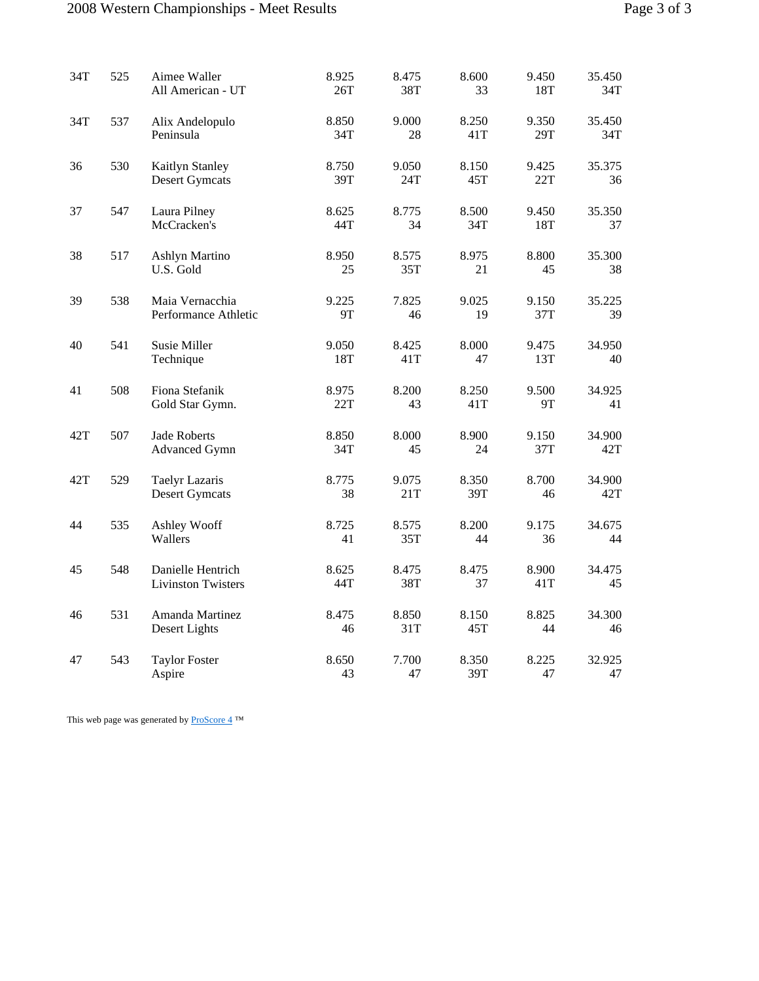### 2008 Western Championships - Meet Results Page

| Page 3 of 3 |  |  |
|-------------|--|--|
|             |  |  |

| 34T | 525 | Aimee Waller<br>All American - UT              | 8.925<br>26T | 8.475<br>38T | 8.600<br>33  | 9.450<br>18T | 35.450<br>34T |
|-----|-----|------------------------------------------------|--------------|--------------|--------------|--------------|---------------|
| 34T | 537 | Alix Andelopulo<br>Peninsula                   | 8.850<br>34T | 9.000<br>28  | 8.250<br>41T | 9.350<br>29T | 35.450<br>34T |
| 36  | 530 | Kaitlyn Stanley<br><b>Desert Gymcats</b>       | 8.750<br>39T | 9.050<br>24T | 8.150<br>45T | 9.425<br>22T | 35.375<br>36  |
| 37  | 547 | Laura Pilney<br>McCracken's                    | 8.625<br>44T | 8.775<br>34  | 8.500<br>34T | 9.450<br>18T | 35.350<br>37  |
| 38  | 517 | Ashlyn Martino<br>U.S. Gold                    | 8.950<br>25  | 8.575<br>35T | 8.975<br>21  | 8.800<br>45  | 35.300<br>38  |
| 39  | 538 | Maia Vernacchia<br>Performance Athletic        | 9.225<br>9T  | 7.825<br>46  | 9.025<br>19  | 9.150<br>37T | 35.225<br>39  |
| 40  | 541 | Susie Miller<br>Technique                      | 9.050<br>18T | 8.425<br>41T | 8.000<br>47  | 9.475<br>13T | 34.950<br>40  |
| 41  | 508 | Fiona Stefanik<br>Gold Star Gymn.              | 8.975<br>22T | 8.200<br>43  | 8.250<br>41T | 9.500<br>9T  | 34.925<br>41  |
| 42T | 507 | <b>Jade Roberts</b><br><b>Advanced Gymn</b>    | 8.850<br>34T | 8.000<br>45  | 8.900<br>24  | 9.150<br>37T | 34.900<br>42T |
| 42T | 529 | <b>Taelyr Lazaris</b><br><b>Desert Gymcats</b> | 8.775<br>38  | 9.075<br>21T | 8.350<br>39T | 8.700<br>46  | 34.900<br>42T |
| 44  | 535 | Ashley Wooff<br>Wallers                        | 8.725<br>41  | 8.575<br>35T | 8.200<br>44  | 9.175<br>36  | 34.675<br>44  |
| 45  | 548 | Danielle Hentrich<br><b>Livinston Twisters</b> | 8.625<br>44T | 8.475<br>38T | 8.475<br>37  | 8.900<br>41T | 34.475<br>45  |
| 46  | 531 | Amanda Martinez<br>Desert Lights               | 8.475<br>46  | 8.850<br>31T | 8.150<br>45T | 8.825<br>44  | 34.300<br>46  |
| 47  | 543 | <b>Taylor Foster</b><br>Aspire                 | 8.650<br>43  | 7.700<br>47  | 8.350<br>39T | 8.225<br>47  | 32.925<br>47  |

This web page was generated by  $\underline{\text{ProScore 4}}^{\text{TM}}$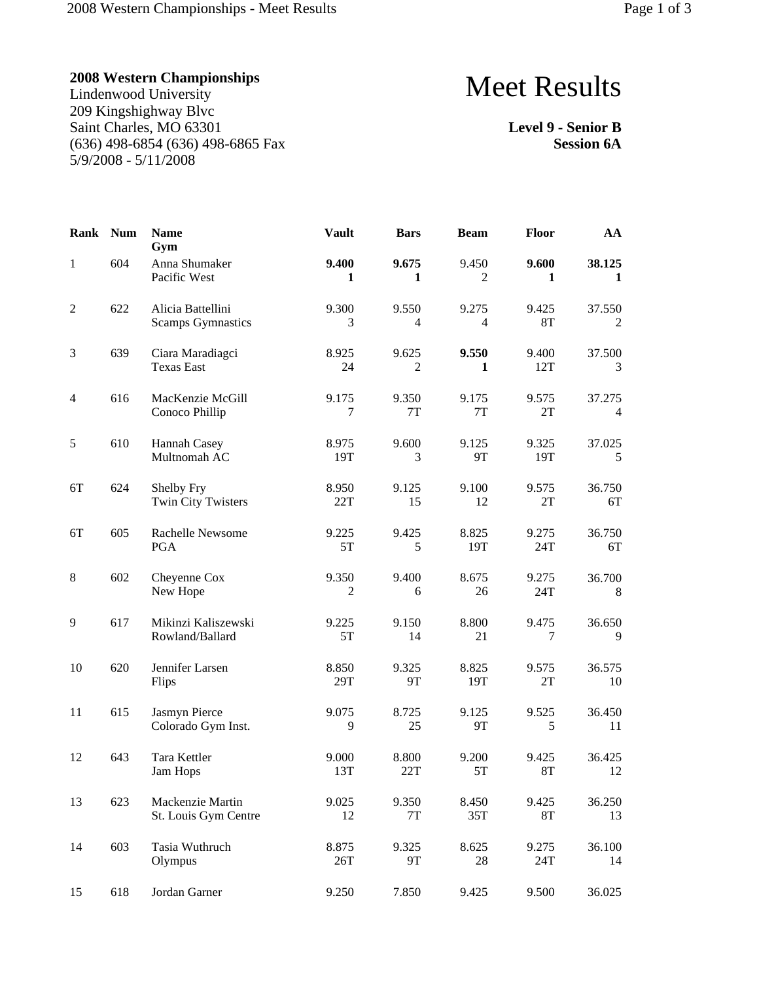Lindenwood University 209 Kingshighway Blvc Saint Charles, MO 63301 (636) 498-6854 (636) 498-6865 Fax 5/9/2008 - 5/11/2008

# Meet Results

**Level 9 - Senior B Session 6A**

| Rank         | <b>Num</b> | <b>Name</b><br>Gym                            | <b>Vault</b> | <b>Bars</b>            | <b>Beam</b>             | Floor              | AA                       |
|--------------|------------|-----------------------------------------------|--------------|------------------------|-------------------------|--------------------|--------------------------|
| $\mathbf{1}$ | 604        | Anna Shumaker<br>Pacific West                 | 9.400<br>1   | 9.675<br>1             | 9.450<br>2              | 9.600<br>1         | 38.125<br>1              |
| 2            | 622        | Alicia Battellini<br><b>Scamps Gymnastics</b> | 9.300<br>3   | 9.550<br>4             | 9.275<br>$\overline{4}$ | 9.425<br><b>8T</b> | 37.550<br>$\overline{2}$ |
| 3            | 639        | Ciara Maradiagci<br><b>Texas East</b>         | 8.925<br>24  | 9.625<br>2             | 9.550<br>1              | 9.400<br>12T       | 37.500<br>3              |
| 4            | 616        | MacKenzie McGill<br>Conoco Phillip            | 9.175<br>7   | 9.350<br>7T            | 9.175<br>$7\mathrm{T}$  | 9.575<br>2T        | 37.275<br>$\overline{4}$ |
| 5            | 610        | Hannah Casey<br>Multnomah AC                  | 8.975<br>19T | 9.600<br>3             | 9.125<br>9T             | 9.325<br>19T       | 37.025<br>5              |
| 6T           | 624        | Shelby Fry<br><b>Twin City Twisters</b>       | 8.950<br>22T | 9.125<br>15            | 9.100<br>12             | 9.575<br>2T        | 36.750<br>6T             |
| 6T           | 605        | Rachelle Newsome<br><b>PGA</b>                | 9.225<br>5T  | 9.425<br>5             | 8.825<br>19T            | 9.275<br>24T       | 36.750<br>6T             |
| $\,8$        | 602        | Cheyenne Cox<br>New Hope                      | 9.350<br>2   | 9.400<br>6             | 8.675<br>26             | 9.275<br>24T       | 36.700<br>8              |
| 9            | 617        | Mikinzi Kaliszewski<br>Rowland/Ballard        | 9.225<br>5T  | 9.150<br>14            | 8.800<br>21             | 9.475<br>7         | 36.650<br>9              |
| 10           | 620        | Jennifer Larsen<br>Flips                      | 8.850<br>29T | 9.325<br>9T            | 8.825<br>19T            | 9.575<br>2T        | 36.575<br>10             |
| 11           | 615        | Jasmyn Pierce<br>Colorado Gym Inst.           | 9.075<br>9   | 8.725<br>25            | 9.125<br>9T             | 9.525<br>5         | 36.450<br>11             |
| 12           | 643        | Tara Kettler<br>Jam Hops                      | 9.000<br>13T | 8.800<br>22T           | 9.200<br>5T             | 9.425<br><b>8T</b> | 36.425<br>12             |
| 13           | 623        | Mackenzie Martin<br>St. Louis Gym Centre      | 9.025<br>12  | 9.350<br>$7\mathrm{T}$ | 8.450<br>35T            | 9.425<br><b>8T</b> | 36.250<br>13             |
| 14           | 603        | Tasia Wuthruch<br>Olympus                     | 8.875<br>26T | 9.325<br>9T            | 8.625<br>28             | 9.275<br>24T       | 36.100<br>14             |
| 15           | 618        | Jordan Garner                                 | 9.250        | 7.850                  | 9.425                   | 9.500              | 36.025                   |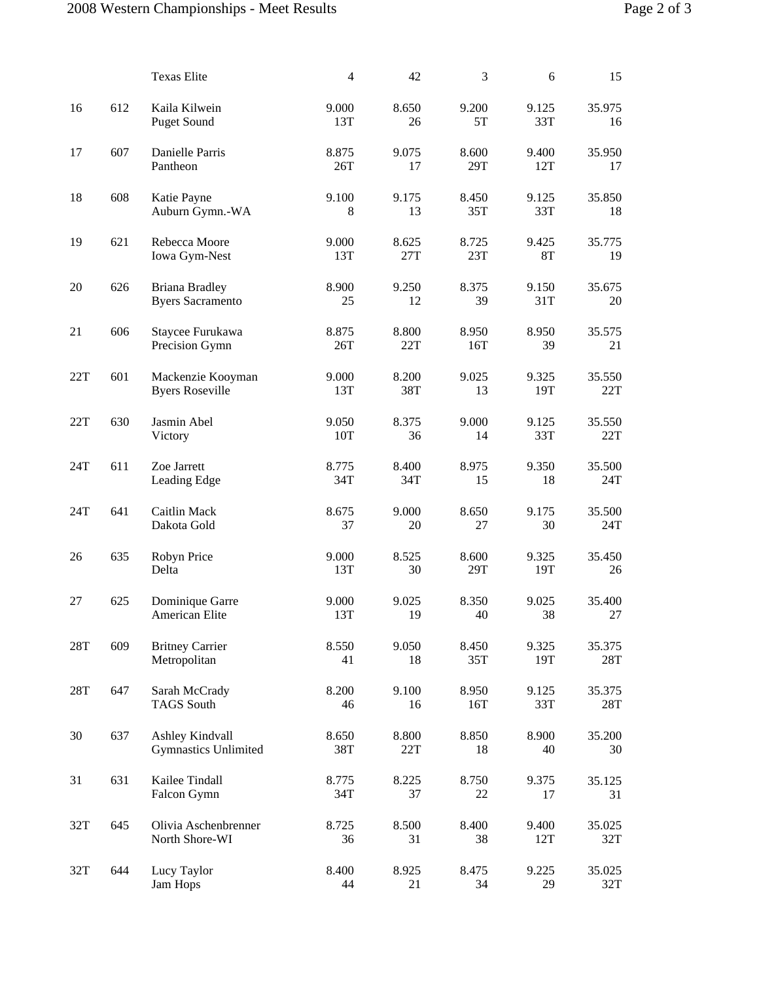|     |     | <b>Texas Elite</b>                               | $\overline{4}$ | 42           | 3            | 6                  | 15            |
|-----|-----|--------------------------------------------------|----------------|--------------|--------------|--------------------|---------------|
| 16  | 612 | Kaila Kilwein<br><b>Puget Sound</b>              | 9.000<br>13T   | 8.650<br>26  | 9.200<br>5T  | 9.125<br>33T       | 35.975<br>16  |
| 17  | 607 | Danielle Parris<br>Pantheon                      | 8.875<br>26T   | 9.075<br>17  | 8.600<br>29T | 9.400<br>12T       | 35.950<br>17  |
| 18  | 608 | Katie Payne<br>Auburn Gymn.-WA                   | 9.100<br>8     | 9.175<br>13  | 8.450<br>35T | 9.125<br>33T       | 35.850<br>18  |
| 19  | 621 | Rebecca Moore<br>Iowa Gym-Nest                   | 9.000<br>13T   | 8.625<br>27T | 8.725<br>23T | 9.425<br><b>8T</b> | 35.775<br>19  |
| 20  | 626 | <b>Briana Bradley</b><br><b>Byers Sacramento</b> | 8.900<br>25    | 9.250<br>12  | 8.375<br>39  | 9.150<br>31T       | 35.675<br>20  |
| 21  | 606 | Staycee Furukawa<br>Precision Gymn               | 8.875<br>26T   | 8.800<br>22T | 8.950<br>16T | 8.950<br>39        | 35.575<br>21  |
| 22T | 601 | Mackenzie Kooyman<br><b>Byers Roseville</b>      | 9.000<br>13T   | 8.200<br>38T | 9.025<br>13  | 9.325<br>19T       | 35.550<br>22T |
| 22T | 630 | Jasmin Abel<br>Victory                           | 9.050<br>10T   | 8.375<br>36  | 9.000<br>14  | 9.125<br>33T       | 35.550<br>22T |
| 24T | 611 | Zoe Jarrett<br>Leading Edge                      | 8.775<br>34T   | 8.400<br>34T | 8.975<br>15  | 9.350<br>18        | 35.500<br>24T |
| 24T | 641 | Caitlin Mack<br>Dakota Gold                      | 8.675<br>37    | 9.000<br>20  | 8.650<br>27  | 9.175<br>30        | 35.500<br>24T |
| 26  | 635 | Robyn Price<br>Delta                             | 9.000<br>13T   | 8.525<br>30  | 8.600<br>29T | 9.325<br>19T       | 35.450<br>26  |
| 27  | 625 | Dominique Garre<br>American Elite                | 9.000<br>13T   | 9.025<br>19  | 8.350<br>40  | 9.025<br>38        | 35.400<br>27  |
| 28T | 609 | <b>Britney Carrier</b><br>Metropolitan           | 8.550<br>41    | 9.050<br>18  | 8.450<br>35T | 9.325<br>19T       | 35.375<br>28T |
| 28T | 647 | Sarah McCrady<br><b>TAGS South</b>               | 8.200<br>46    | 9.100<br>16  | 8.950<br>16T | 9.125<br>33T       | 35.375<br>28T |
| 30  | 637 | Ashley Kindvall<br><b>Gymnastics Unlimited</b>   | 8.650<br>38T   | 8.800<br>22T | 8.850<br>18  | 8.900<br>40        | 35.200<br>30  |
| 31  | 631 | Kailee Tindall<br>Falcon Gymn                    | 8.775<br>34T   | 8.225<br>37  | 8.750<br>22  | 9.375<br>17        | 35.125<br>31  |
| 32T | 645 | Olivia Aschenbrenner<br>North Shore-WI           | 8.725<br>36    | 8.500<br>31  | 8.400<br>38  | 9.400<br>12T       | 35.025<br>32T |
| 32T | 644 | Lucy Taylor<br>Jam Hops                          | 8.400<br>44    | 8.925<br>21  | 8.475<br>34  | 9.225<br>29        | 35.025<br>32T |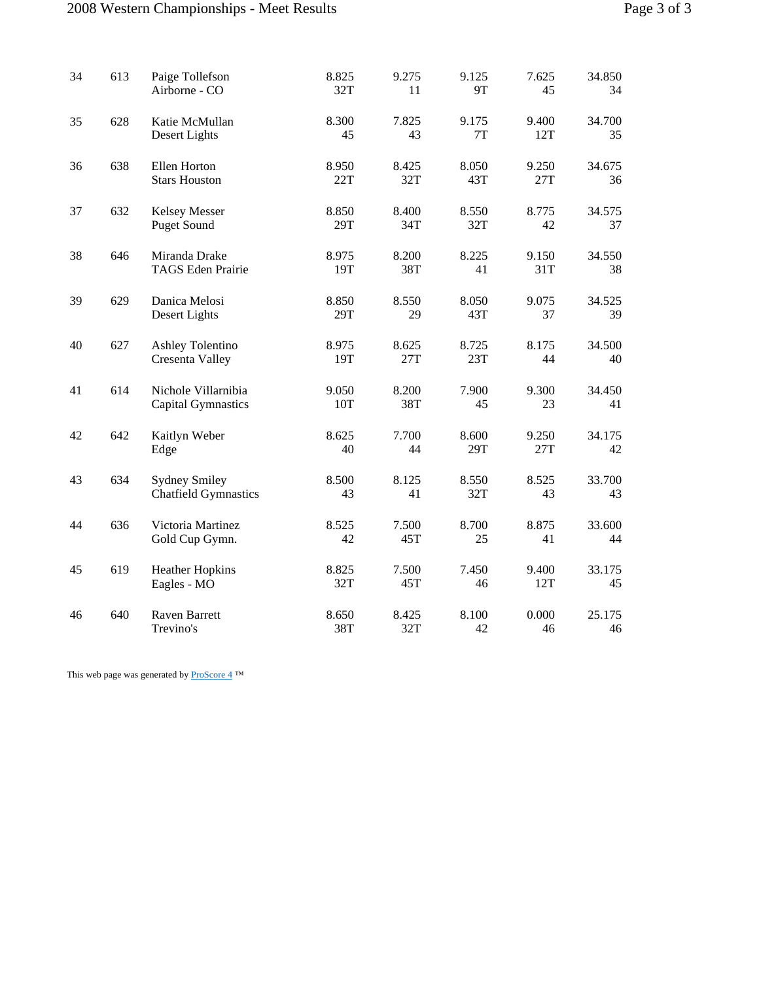### 2008 Western Championships - Meet Results Page

| Page 3 of 3 |  |  |
|-------------|--|--|
|             |  |  |

| 34 | 613 | Paige Tollefson<br>Airborne - CO                    | 8.825<br>32T | 9.275<br>11  | 9.125<br>9T  | 7.625<br>45  | 34.850<br>34 |
|----|-----|-----------------------------------------------------|--------------|--------------|--------------|--------------|--------------|
| 35 | 628 | Katie McMullan<br>Desert Lights                     | 8.300<br>45  | 7.825<br>43  | 9.175<br>7T  | 9.400<br>12T | 34.700<br>35 |
| 36 | 638 | Ellen Horton<br><b>Stars Houston</b>                | 8.950<br>22T | 8.425<br>32T | 8.050<br>43T | 9.250<br>27T | 34.675<br>36 |
| 37 | 632 | Kelsey Messer<br><b>Puget Sound</b>                 | 8.850<br>29T | 8.400<br>34T | 8.550<br>32T | 8.775<br>42  | 34.575<br>37 |
| 38 | 646 | Miranda Drake<br><b>TAGS</b> Eden Prairie           | 8.975<br>19T | 8.200<br>38T | 8.225<br>41  | 9.150<br>31T | 34.550<br>38 |
| 39 | 629 | Danica Melosi<br>Desert Lights                      | 8.850<br>29T | 8.550<br>29  | 8.050<br>43T | 9.075<br>37  | 34.525<br>39 |
| 40 | 627 | <b>Ashley Tolentino</b><br>Cresenta Valley          | 8.975<br>19T | 8.625<br>27T | 8.725<br>23T | 8.175<br>44  | 34.500<br>40 |
| 41 | 614 | Nichole Villarnibia<br><b>Capital Gymnastics</b>    | 9.050<br>10T | 8.200<br>38T | 7.900<br>45  | 9.300<br>23  | 34.450<br>41 |
| 42 | 642 | Kaitlyn Weber<br>Edge                               | 8.625<br>40  | 7.700<br>44  | 8.600<br>29T | 9.250<br>27T | 34.175<br>42 |
| 43 | 634 | <b>Sydney Smiley</b><br><b>Chatfield Gymnastics</b> | 8.500<br>43  | 8.125<br>41  | 8.550<br>32T | 8.525<br>43  | 33.700<br>43 |
| 44 | 636 | Victoria Martinez<br>Gold Cup Gymn.                 | 8.525<br>42  | 7.500<br>45T | 8.700<br>25  | 8.875<br>41  | 33.600<br>44 |
| 45 | 619 | <b>Heather Hopkins</b><br>Eagles - MO               | 8.825<br>32T | 7.500<br>45T | 7.450<br>46  | 9.400<br>12T | 33.175<br>45 |
| 46 | 640 | Raven Barrett<br>Trevino's                          | 8.650<br>38T | 8.425<br>32T | 8.100<br>42  | 0.000<br>46  | 25.175<br>46 |

This web page was generated by  $\underline{\text{ProScore 4}}^{\text{TM}}$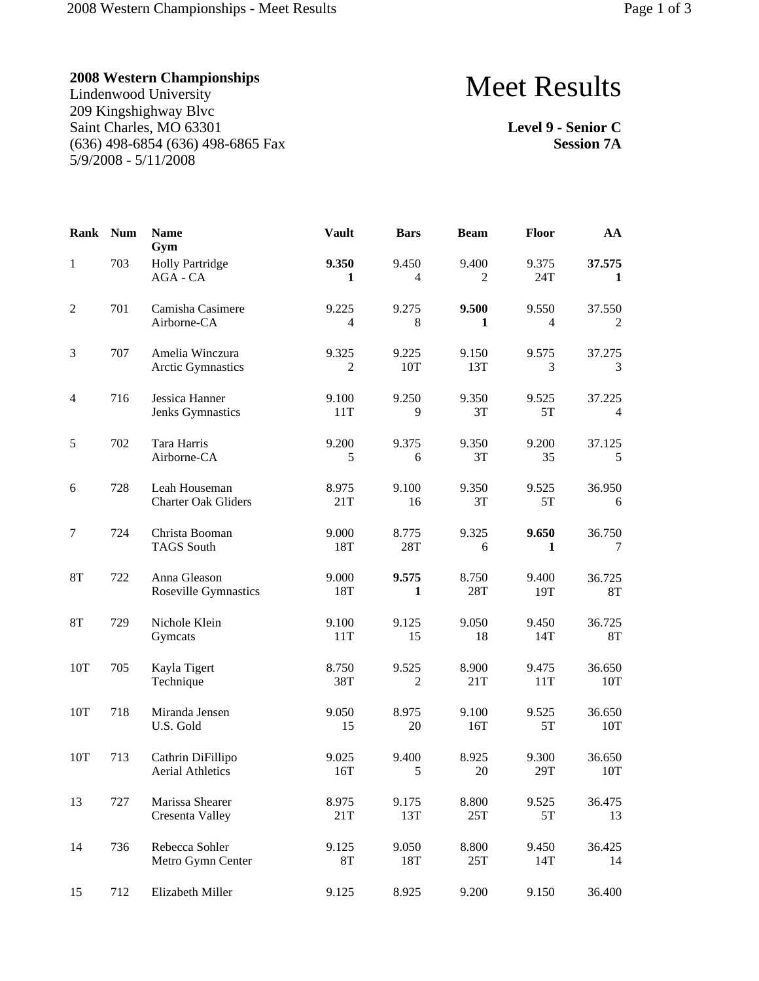Lindenwood University 209 Kingshighway Blvc Saint Charles, MO 63301 (636) 498-6854 (636) 498-6865 Fax 5/9/2008 - 5/11/2008

# Meet Results

**Level 9 - Senior C Session 7A**

| Rank           | <b>Num</b> | <b>Name</b><br>Gym                           | <b>Vault</b>            | <b>Bars</b>             | <b>Beam</b>  | Floor                   | AA                       |
|----------------|------------|----------------------------------------------|-------------------------|-------------------------|--------------|-------------------------|--------------------------|
| $\mathbf{1}$   | 703        | <b>Holly Partridge</b><br>AGA - CA           | 9.350<br>1              | 9.450<br>$\overline{4}$ | 9.400<br>2   | 9.375<br>24T            | 37.575<br>1              |
| $\overline{c}$ | 701        | Camisha Casimere<br>Airborne-CA              | 9.225<br>4              | 9.275<br>8              | 9.500<br>1   | 9.550<br>$\overline{4}$ | 37.550<br>2              |
| $\mathfrak{Z}$ | 707        | Amelia Winczura<br><b>Arctic Gymnastics</b>  | 9.325<br>$\overline{2}$ | 9.225<br>10T            | 9.150<br>13T | 9.575<br>3              | 37.275<br>3              |
| $\overline{4}$ | 716        | Jessica Hanner<br>Jenks Gymnastics           | 9.100<br>11T            | 9.250<br>9              | 9.350<br>3T  | 9.525<br>5T             | 37.225<br>$\overline{4}$ |
| 5              | 702        | Tara Harris<br>Airborne-CA                   | 9.200<br>5              | 9.375<br>6              | 9.350<br>3T  | 9.200<br>35             | 37.125<br>$\sqrt{5}$     |
| 6              | 728        | Leah Houseman<br><b>Charter Oak Gliders</b>  | 8.975<br>21T            | 9.100<br>16             | 9.350<br>3T  | 9.525<br>5T             | 36.950<br>6              |
| 7              | 724        | Christa Booman<br><b>TAGS</b> South          | 9.000<br>18T            | 8.775<br>28T            | 9.325<br>6   | 9.650<br>1              | 36.750<br>7              |
| 8T             | 722        | Anna Gleason<br>Roseville Gymnastics         | 9.000<br>18T            | 9.575<br>1              | 8.750<br>28T | 9.400<br>19T            | 36.725<br>8T             |
| 8T             | 729        | Nichole Klein<br>Gymcats                     | 9.100<br>11T            | 9.125<br>15             | 9.050<br>18  | 9.450<br>14T            | 36.725<br>$8\mathrm{T}$  |
| 10T            | 705        | Kayla Tigert<br>Technique                    | 8.750<br>38T            | 9.525<br>$\mathfrak{2}$ | 8.900<br>21T | 9.475<br>11T            | 36.650<br>10T            |
| 10T            | 718        | Miranda Jensen<br>U.S. Gold                  | 9.050<br>15             | 8.975<br>20             | 9.100<br>16T | 9.525<br>5T             | 36.650<br>10T            |
| 10T            | 713        | Cathrin DiFillipo<br><b>Aerial Athletics</b> | 9.025<br>16T            | 9.400<br>5              | 8.925<br>20  | 9.300<br>29T            | 36.650<br>10T            |
| 13             | 727        | Marissa Shearer<br>Cresenta Valley           | 8.975<br>21T            | 9.175<br>13T            | 8.800<br>25T | 9.525<br>5T             | 36.475<br>13             |
| 14             | 736        | Rebecca Sohler<br>Metro Gymn Center          | 9.125<br><b>8T</b>      | 9.050<br>18T            | 8.800<br>25T | 9.450<br>14T            | 36.425<br>14             |
| 15             | 712        | Elizabeth Miller                             | 9.125                   | 8.925                   | 9.200        | 9.150                   | 36.400                   |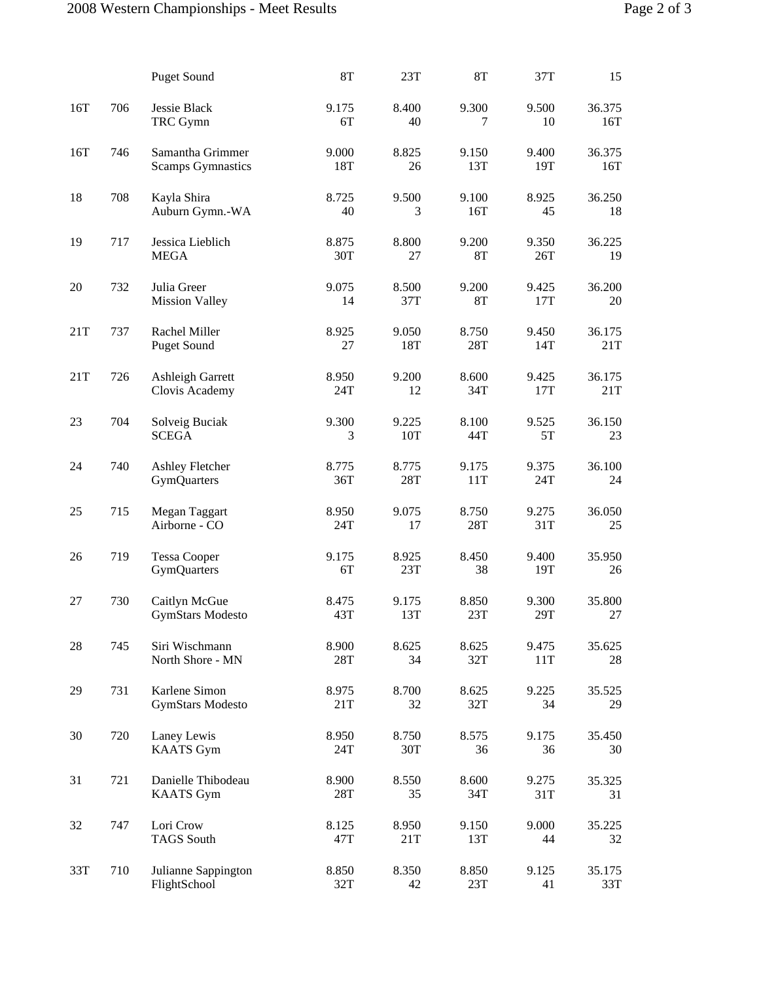|     |     | <b>Puget Sound</b>                           | <b>8T</b>    | 23T          | 8T           | 37T          | 15            |
|-----|-----|----------------------------------------------|--------------|--------------|--------------|--------------|---------------|
| 16T | 706 | Jessie Black<br>TRC Gymn                     | 9.175<br>6T  | 8.400<br>40  | 9.300<br>7   | 9.500<br>10  | 36.375<br>16T |
| 16T | 746 | Samantha Grimmer<br><b>Scamps Gymnastics</b> | 9.000<br>18T | 8.825<br>26  | 9.150<br>13T | 9.400<br>19T | 36.375<br>16T |
| 18  | 708 | Kayla Shira<br>Auburn Gymn.-WA               | 8.725<br>40  | 9.500<br>3   | 9.100<br>16T | 8.925<br>45  | 36.250<br>18  |
| 19  | 717 | Jessica Lieblich<br><b>MEGA</b>              | 8.875<br>30T | 8.800<br>27  | 9.200<br>8T  | 9.350<br>26T | 36.225<br>19  |
| 20  | 732 | Julia Greer<br><b>Mission Valley</b>         | 9.075<br>14  | 8.500<br>37T | 9.200<br>8T  | 9.425<br>17T | 36.200<br>20  |
| 21T | 737 | Rachel Miller<br><b>Puget Sound</b>          | 8.925<br>27  | 9.050<br>18T | 8.750<br>28T | 9.450<br>14T | 36.175<br>21T |
| 21T | 726 | Ashleigh Garrett<br>Clovis Academy           | 8.950<br>24T | 9.200<br>12  | 8.600<br>34T | 9.425<br>17T | 36.175<br>21T |
| 23  | 704 | Solveig Buciak<br><b>SCEGA</b>               | 9.300<br>3   | 9.225<br>10T | 8.100<br>44T | 9.525<br>5T  | 36.150<br>23  |
| 24  | 740 | Ashley Fletcher<br><b>GymQuarters</b>        | 8.775<br>36T | 8.775<br>28T | 9.175<br>11T | 9.375<br>24T | 36.100<br>24  |
| 25  | 715 | Megan Taggart<br>Airborne - CO               | 8.950<br>24T | 9.075<br>17  | 8.750<br>28T | 9.275<br>31T | 36.050<br>25  |
| 26  | 719 | <b>Tessa Cooper</b><br><b>GymQuarters</b>    | 9.175<br>6T  | 8.925<br>23T | 8.450<br>38  | 9.400<br>19T | 35.950<br>26  |
| 27  | 730 | Caitlyn McGue<br><b>GymStars Modesto</b>     | 8.475<br>43T | 9.175<br>13T | 8.850<br>23T | 9.300<br>29T | 35.800<br>27  |
| 28  | 745 | Siri Wischmann<br>North Shore - MN           | 8.900<br>28T | 8.625<br>34  | 8.625<br>32T | 9.475<br>11T | 35.625<br>28  |
| 29  | 731 | Karlene Simon<br><b>GymStars Modesto</b>     | 8.975<br>21T | 8.700<br>32  | 8.625<br>32T | 9.225<br>34  | 35.525<br>29  |
| 30  | 720 | Laney Lewis<br><b>KAATS</b> Gym              | 8.950<br>24T | 8.750<br>30T | 8.575<br>36  | 9.175<br>36  | 35.450<br>30  |
| 31  | 721 | Danielle Thibodeau<br><b>KAATS</b> Gym       | 8.900<br>28T | 8.550<br>35  | 8.600<br>34T | 9.275<br>31T | 35.325<br>31  |
| 32  | 747 | Lori Crow<br><b>TAGS South</b>               | 8.125<br>47T | 8.950<br>21T | 9.150<br>13T | 9.000<br>44  | 35.225<br>32  |
| 33T | 710 | Julianne Sappington<br>FlightSchool          | 8.850<br>32T | 8.350<br>42  | 8.850<br>23T | 9.125<br>41  | 35.175<br>33T |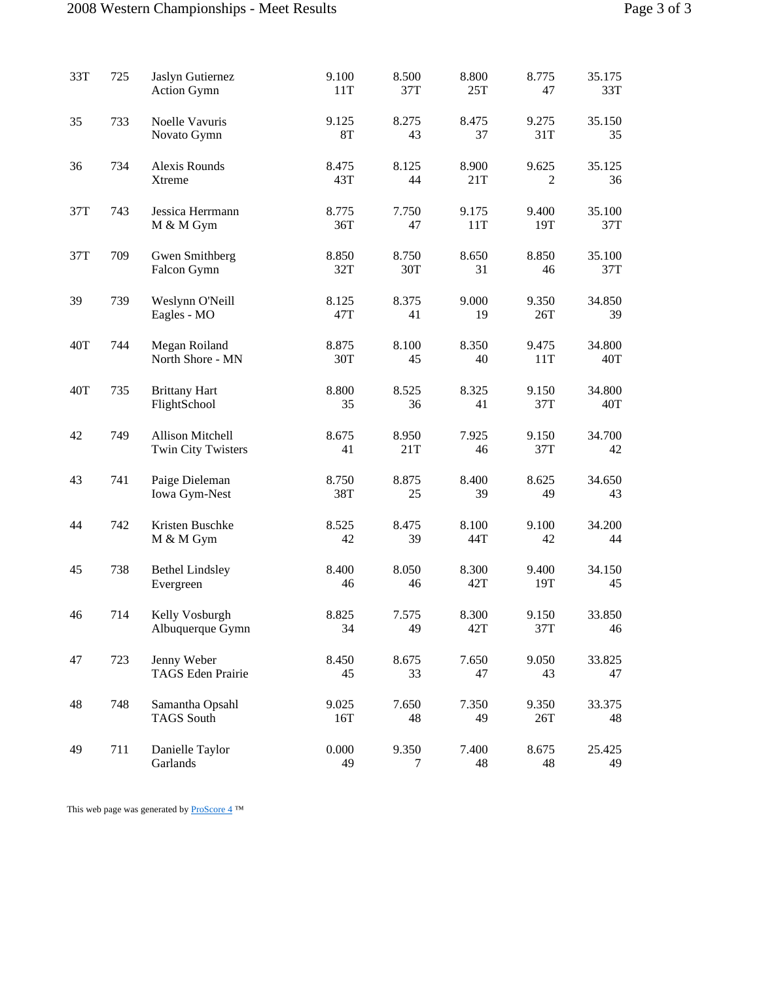#### 2008 Western Championships - Meet Results Page 3 of 3

| 33T | 725 | Jaslyn Gutiernez<br>Action Gymn               | 9.100<br>11T       | 8.500<br>37T | 8.800<br>25T | 8.775<br>47  | 35.175<br>33T |
|-----|-----|-----------------------------------------------|--------------------|--------------|--------------|--------------|---------------|
| 35  | 733 | Noelle Vavuris<br>Novato Gymn                 | 9.125<br><b>8T</b> | 8.275<br>43  | 8.475<br>37  | 9.275<br>31T | 35.150<br>35  |
| 36  | 734 | Alexis Rounds<br>Xtreme                       | 8.475<br>43T       | 8.125<br>44  | 8.900<br>21T | 9.625<br>2   | 35.125<br>36  |
| 37T | 743 | Jessica Herrmann<br>M & M Gym                 | 8.775<br>36T       | 7.750<br>47  | 9.175<br>11T | 9.400<br>19T | 35.100<br>37T |
| 37T | 709 | Gwen Smithberg<br>Falcon Gymn                 | 8.850<br>32T       | 8.750<br>30T | 8.650<br>31  | 8.850<br>46  | 35.100<br>37T |
| 39  | 739 | Weslynn O'Neill<br>Eagles - MO                | 8.125<br>47T       | 8.375<br>41  | 9.000<br>19  | 9.350<br>26T | 34.850<br>39  |
| 40T | 744 | Megan Roiland<br>North Shore - MN             | 8.875<br>30T       | 8.100<br>45  | 8.350<br>40  | 9.475<br>11T | 34.800<br>40T |
| 40T | 735 | <b>Brittany Hart</b><br>FlightSchool          | 8.800<br>35        | 8.525<br>36  | 8.325<br>41  | 9.150<br>37T | 34.800<br>40T |
| 42  | 749 | <b>Allison Mitchell</b><br>Twin City Twisters | 8.675<br>41        | 8.950<br>21T | 7.925<br>46  | 9.150<br>37T | 34.700<br>42  |
| 43  | 741 | Paige Dieleman<br>Iowa Gym-Nest               | 8.750<br>38T       | 8.875<br>25  | 8.400<br>39  | 8.625<br>49  | 34.650<br>43  |
| 44  | 742 | Kristen Buschke<br>M & M Gym                  | 8.525<br>42        | 8.475<br>39  | 8.100<br>44T | 9.100<br>42  | 34.200<br>44  |
| 45  | 738 | <b>Bethel Lindsley</b><br>Evergreen           | 8.400<br>46        | 8.050<br>46  | 8.300<br>42T | 9.400<br>19T | 34.150<br>45  |
| 46  | 714 | Kelly Vosburgh<br>Albuquerque Gymn            | 8.825<br>34        | 7.575<br>49  | 8.300<br>42T | 9.150<br>37T | 33.850<br>46  |
| 47  | 723 | Jenny Weber<br>TAGS Eden Prairie              | 8.450<br>45        | 8.675<br>33  | 7.650<br>47  | 9.050<br>43  | 33.825<br>47  |
| 48  | 748 | Samantha Opsahl<br><b>TAGS</b> South          | 9.025<br>16T       | 7.650<br>48  | 7.350<br>49  | 9.350<br>26T | 33.375<br>48  |
| 49  | 711 | Danielle Taylor<br>Garlands                   | 0.000<br>49        | 9.350<br>7   | 7.400<br>48  | 8.675<br>48  | 25.425<br>49  |

This web page was generated by  $\underline{\mathrm{ProScore}\ 4}$  ™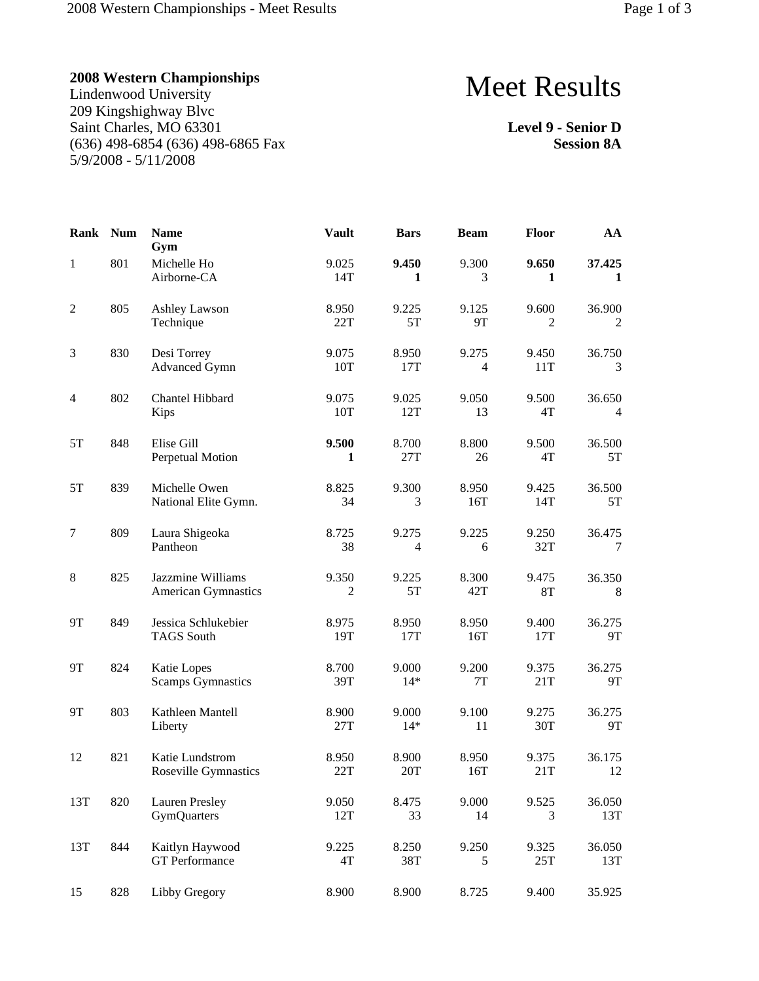Lindenwood University 209 Kingshighway Blvc Saint Charles, MO 63301 (636) 498-6854 (636) 498-6865 Fax 5/9/2008 - 5/11/2008

# Meet Results

**Level 9 - Senior D Session 8A**

| Rank             | <b>Num</b> | <b>Name</b><br>Gym                          | <b>Vault</b>        | <b>Bars</b>             | <b>Beam</b>  | <b>Floor</b> | AA                  |
|------------------|------------|---------------------------------------------|---------------------|-------------------------|--------------|--------------|---------------------|
| $\mathbf{1}$     | 801        | Michelle Ho<br>Airborne-CA                  | 9.025<br>14T        | 9.450<br>1              | 9.300<br>3   | 9.650<br>1   | 37.425<br>1         |
| $\boldsymbol{2}$ | 805        | Ashley Lawson<br>Technique                  | 8.950<br>22T        | 9.225<br>5T             | 9.125<br>9T  | 9.600<br>2   | 36.900<br>2         |
| 3                | 830        | Desi Torrey<br><b>Advanced Gymn</b>         | 9.075<br>10T        | 8.950<br>17T            | 9.275<br>4   | 9.450<br>11T | 36.750<br>3         |
| 4                | 802        | Chantel Hibbard<br>Kips                     | 9.075<br>10T        | 9.025<br>12T            | 9.050<br>13  | 9.500<br>4T  | 36.650<br>4         |
| $5\mathrm{T}$    | 848        | Elise Gill<br>Perpetual Motion              | 9.500<br>1          | 8.700<br>27T            | 8.800<br>26  | 9.500<br>4T  | 36.500<br>5T        |
| 5T               | 839        | Michelle Owen<br>National Elite Gymn.       | 8.825<br>34         | 9.300<br>3              | 8.950<br>16T | 9.425<br>14T | 36.500<br>5T        |
| $\tau$           | 809        | Laura Shigeoka<br>Pantheon                  | 8.725<br>38         | 9.275<br>$\overline{4}$ | 9.225<br>6   | 9.250<br>32T | 36.475<br>7         |
| $\,8\,$          | 825        | Jazzmine Williams<br>American Gymnastics    | 9.350<br>$\sqrt{2}$ | 9.225<br>5T             | 8.300<br>42T | 9.475<br>8T  | 36.350<br>8         |
| <b>9T</b>        | 849        | Jessica Schlukebier<br><b>TAGS South</b>    | 8.975<br>19T        | 8.950<br>17T            | 8.950<br>16T | 9.400<br>17T | 36.275<br><b>9T</b> |
| <b>9T</b>        | 824        | Katie Lopes<br><b>Scamps Gymnastics</b>     | 8.700<br>39T        | 9.000<br>$14*$          | 9.200<br>7T  | 9.375<br>21T | 36.275<br>9T        |
| <b>9T</b>        | 803        | Kathleen Mantell<br>Liberty                 | 8.900<br>27T        | 9.000<br>$14*$          | 9.100<br>11  | 9.275<br>30T | 36.275<br>9T        |
| 12               | 821        | Katie Lundstrom<br>Roseville Gymnastics     | 8.950<br>22T        | 8.900<br>20T            | 8.950<br>16T | 9.375<br>21T | 36.175<br>12        |
| 13T              | 820        | <b>Lauren Presley</b><br><b>GymQuarters</b> | 9.050<br>12T        | 8.475<br>33             | 9.000<br>14  | 9.525<br>3   | 36.050<br>13T       |
| 13T              | 844        | Kaitlyn Haywood<br><b>GT</b> Performance    | 9.225<br>4T         | 8.250<br>38T            | 9.250<br>5   | 9.325<br>25T | 36.050<br>13T       |
| 15               | 828        | Libby Gregory                               | 8.900               | 8.900                   | 8.725        | 9.400        | 35.925              |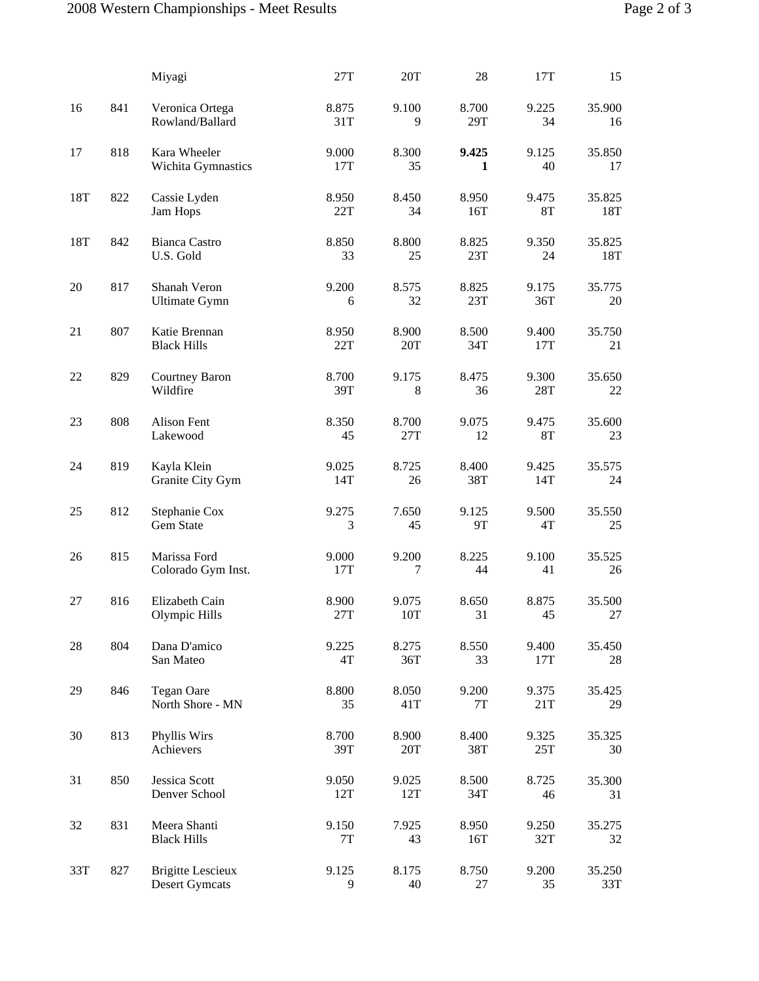|     |     | Miyagi                                            | 27T                    | 20T          | 28                     | 17T                | 15               |
|-----|-----|---------------------------------------------------|------------------------|--------------|------------------------|--------------------|------------------|
| 16  | 841 | Veronica Ortega<br>Rowland/Ballard                | 8.875<br>31T           | 9.100<br>9   | 8.700<br>29T           | 9.225<br>34        | 35.900<br>16     |
| 17  | 818 | Kara Wheeler<br>Wichita Gymnastics                | 9.000<br>17T           | 8.300<br>35  | 9.425<br>1             | 9.125<br>40        | 35.850<br>17     |
| 18T | 822 | Cassie Lyden<br>Jam Hops                          | 8.950<br>22T           | 8.450<br>34  | 8.950<br>16T           | 9.475<br><b>8T</b> | 35.825<br>18T    |
| 18T | 842 | <b>Bianca Castro</b><br>U.S. Gold                 | 8.850<br>33            | 8.800<br>25  | 8.825<br>23T           | 9.350<br>24        | 35.825<br>18T    |
| 20  | 817 | Shanah Veron<br><b>Ultimate Gymn</b>              | 9.200<br>6             | 8.575<br>32  | 8.825<br>23T           | 9.175<br>36T       | 35.775<br>$20\,$ |
| 21  | 807 | Katie Brennan<br><b>Black Hills</b>               | 8.950<br>22T           | 8.900<br>20T | 8.500<br>34T           | 9.400<br>17T       | 35.750<br>21     |
| 22  | 829 | Courtney Baron<br>Wildfire                        | 8.700<br>39T           | 9.175<br>8   | 8.475<br>36            | 9.300<br>28T       | 35.650<br>22     |
| 23  | 808 | Alison Fent<br>Lakewood                           | 8.350<br>45            | 8.700<br>27T | 9.075<br>12            | 9.475<br>8T        | 35.600<br>23     |
| 24  | 819 | Kayla Klein<br>Granite City Gym                   | 9.025<br>14T           | 8.725<br>26  | 8.400<br>38T           | 9.425<br>14T       | 35.575<br>24     |
| 25  | 812 | Stephanie Cox<br>Gem State                        | 9.275<br>3             | 7.650<br>45  | 9.125<br>9T            | 9.500<br>4T        | 35.550<br>25     |
| 26  | 815 | Marissa Ford<br>Colorado Gym Inst.                | 9.000<br>17T           | 9.200<br>7   | 8.225<br>44            | 9.100<br>41        | 35.525<br>26     |
| 27  | 816 | Elizabeth Cain<br>Olympic Hills                   | 8.900<br>27T           | 9.075<br>10T | 8.650<br>31            | 8.875<br>45        | 35.500<br>27     |
| 28  | 804 | Dana D'amico<br>San Mateo                         | 9.225<br>4T            | 8.275<br>36T | 8.550<br>33            | 9.400<br>17T       | 35.450<br>28     |
| 29  | 846 | <b>Tegan Oare</b><br>North Shore - MN             | 8.800<br>35            | 8.050<br>41T | 9.200<br>$7\mathrm{T}$ | 9.375<br>21T       | 35.425<br>29     |
| 30  | 813 | Phyllis Wirs<br>Achievers                         | 8.700<br>39T           | 8.900<br>20T | 8.400<br>38T           | 9.325<br>25T       | 35.325<br>30     |
| 31  | 850 | Jessica Scott<br>Denver School                    | 9.050<br>12T           | 9.025<br>12T | 8.500<br>34T           | 8.725<br>46        | 35.300<br>31     |
| 32  | 831 | Meera Shanti<br><b>Black Hills</b>                | 9.150<br>$7\mathrm{T}$ | 7.925<br>43  | 8.950<br>16T           | 9.250<br>32T       | 35.275<br>32     |
| 33T | 827 | <b>Brigitte Lescieux</b><br><b>Desert Gymcats</b> | 9.125<br>9             | 8.175<br>40  | 8.750<br>27            | 9.200<br>35        | 35.250<br>33T    |